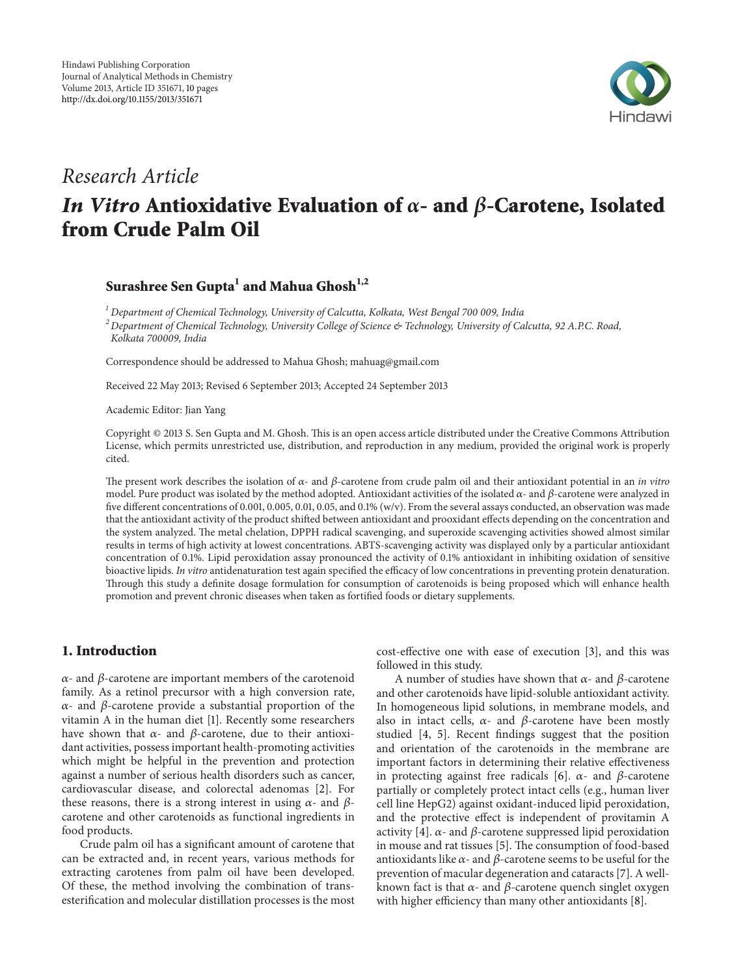

## Research Article

# In Vitro Antioxidative Evaluation of  $\alpha$ - and  $\beta$ -Carotene, Isolated from Crude Palm Oil

### Surashree Sen Gupta $^{\rm l}$  and Mahua Ghosh $^{\rm l,2}$

 $1$  Department of Chemical Technology, University of Calcutta, Kolkata, West Bengal 700 009, India <sup>2</sup> Department of Chemical Technology, University College of Science & Technology, University of Calcutta, 92 A.P.C. Road, Kolkata 700009, India

Correspondence should be addressed to Mahua Ghosh; mahuag@gmail.com

Received 22 May 2013; Revised 6 September 2013; Accepted 24 September 2013

Academic Editor: Jian Yang

Copyright © 2013 S. Sen Gupta and M. Ghosh. This is an open access article distributed under the Creative Commons Attribution License, which permits unrestricted use, distribution, and reproduction in any medium, provided the original work is properly cited.

The present work describes the isolation of  $\alpha$ - and  $\beta$ -carotene from crude palm oil and their antioxidant potential in an *in vitro* model. Pure product was isolated by the method adopted. Antioxidant activities of the isolated  $\alpha$ - and  $\beta$ -carotene were analyzed in five different concentrations of 0.001, 0.005, 0.01, 0.05, and 0.1% (w/v). From the several assays conducted, an observation was made that the antioxidant activity of the product shifted between antioxidant and prooxidant effects depending on the concentration and the system analyzed. The metal chelation, DPPH radical scavenging, and superoxide scavenging activities showed almost similar results in terms of high activity at lowest concentrations. ABTS-scavenging activity was displayed only by a particular antioxidant concentration of 0.1%. Lipid peroxidation assay pronounced the activity of 0.1% antioxidant in inhibiting oxidation of sensitive bioactive lipids. In vitro antidenaturation test again specified the efficacy of low concentrations in preventing protein denaturation. Through this study a definite dosage formulation for consumption of carotenoids is being proposed which will enhance health promotion and prevent chronic diseases when taken as fortified foods or dietary supplements.

#### 1. Introduction

 $\alpha$ - and  $\beta$ -carotene are important members of the carotenoid family. As a retinol precursor with a high conversion rate,  $\alpha$ - and  $\beta$ -carotene provide a substantial proportion of the vitamin A in the human diet [1]. Recently some researchers have shown that  $\alpha$ - and  $\beta$ -carotene, due to their antioxidant activities, possess important health-promoting activities which might be helpful in the prevention and protection against a number of serious health disorders such as cancer, cardiovascular disease, and colorectal adenomas [2]. For these reasons, there is a strong interest in using  $\alpha$ - and  $\beta$ carotene and other carotenoids as functional ingredients in food products.

Crude palm oil has a significant amount of carotene that can be extracted and, in recent years, various methods for extracting carotenes from palm oil have been developed. Of these, the method involving the combination of transesterification and molecular distillation processes is the most

cost-effective one with ease of execution [3], and this was followed in this study.

A number of studies have shown that  $\alpha$ - and  $\beta$ -carotene and other carotenoids have lipid-soluble antioxidant activity. In homogeneous lipid solutions, in membrane models, and also in intact cells,  $\alpha$ - and  $\beta$ -carotene have been mostly studied [4, 5]. Recent findings suggest that the position and orientation of the carotenoids in the membrane are important factors in determining their relative effectiveness in protecting against free radicals [6].  $\alpha$ - and  $\beta$ -carotene partially or completely protect intact cells (e.g., human liver cell line HepG2) against oxidant-induced lipid peroxidation, and the protective effect is independent of provitamin A activity [4].  $\alpha$ - and  $\beta$ -carotene suppressed lipid peroxidation in mouse and rat tissues [5]. The consumption of food-based antioxidants like  $\alpha$ - and  $\beta$ -carotene seems to be useful for the prevention of macular degeneration and cataracts [7]. A wellknown fact is that  $\alpha$ - and  $\beta$ -carotene quench singlet oxygen with higher efficiency than many other antioxidants [8].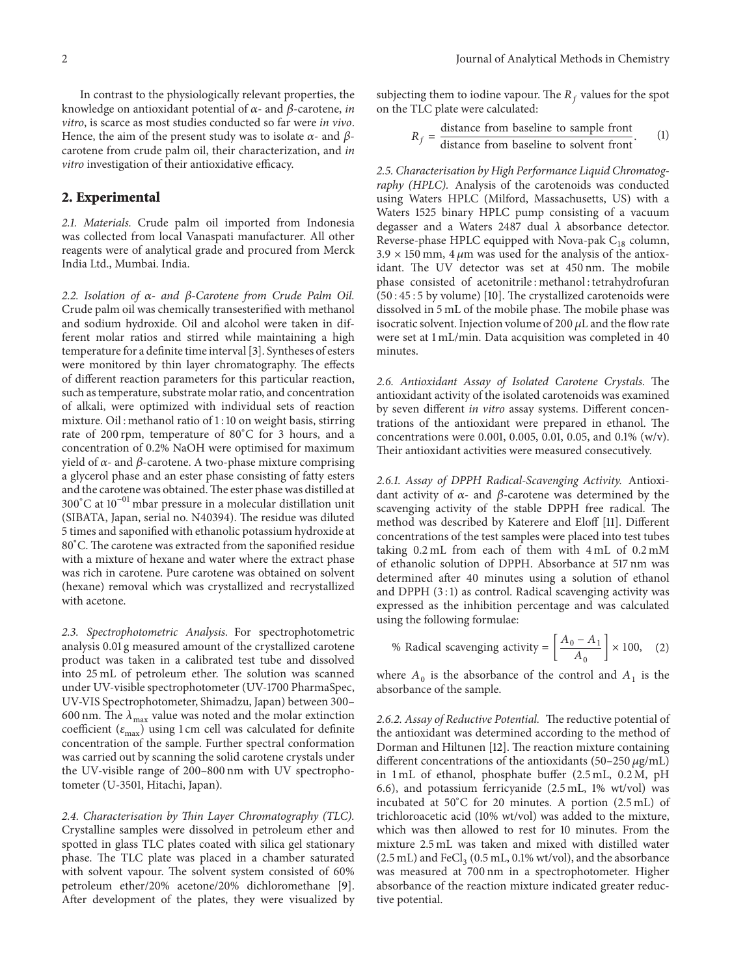In contrast to the physiologically relevant properties, the knowledge on antioxidant potential of  $\alpha$ - and  $\beta$ -carotene, in vitro, is scarce as most studies conducted so far were in vivo. Hence, the aim of the present study was to isolate  $\alpha$ - and  $\beta$ carotene from crude palm oil, their characterization, and in vitro investigation of their antioxidative efficacy.

#### 2. Experimental

2.1. Materials. Crude palm oil imported from Indonesia was collected from local Vanaspati manufacturer. All other reagents were of analytical grade and procured from Merck India Ltd., Mumbai. India.

2.2. Isolation of  $\alpha$ - and  $\beta$ -Carotene from Crude Palm Oil. Crude palm oil was chemically transesterified with methanol and sodium hydroxide. Oil and alcohol were taken in different molar ratios and stirred while maintaining a high temperature for a definite time interval [3]. Syntheses of esters were monitored by thin layer chromatography. The effects of different reaction parameters for this particular reaction, such as temperature, substrate molar ratio, and concentration of alkali, were optimized with individual sets of reaction mixture. Oil : methanol ratio of 1 : 10 on weight basis, stirring rate of 200 rpm, temperature of 80<sup>∘</sup>C for 3 hours, and a concentration of 0.2% NaOH were optimised for maximum yield of  $\alpha$ - and  $\beta$ -carotene. A two-phase mixture comprising a glycerol phase and an ester phase consisting of fatty esters and the carotene was obtained. The ester phase was distilled at 300<sup>∘</sup>C at 10−01 mbar pressure in a molecular distillation unit (SIBATA, Japan, serial no. N40394). The residue was diluted 5 times and saponified with ethanolic potassium hydroxide at 80<sup>∘</sup>C. The carotene was extracted from the saponified residue with a mixture of hexane and water where the extract phase was rich in carotene. Pure carotene was obtained on solvent (hexane) removal which was crystallized and recrystallized with acetone.

2.3. Spectrophotometric Analysis. For spectrophotometric analysis 0.01 g measured amount of the crystallized carotene product was taken in a calibrated test tube and dissolved into 25 mL of petroleum ether. The solution was scanned under UV-visible spectrophotometer (UV-1700 PharmaSpec, UV-VIS Spectrophotometer, Shimadzu, Japan) between 300– 600 nm. The  $\lambda_{\text{max}}$  value was noted and the molar extinction coefficient ( $\varepsilon_{\rm max}$ ) using 1 cm cell was calculated for definite concentration of the sample. Further spectral conformation was carried out by scanning the solid carotene crystals under the UV-visible range of 200–800 nm with UV spectrophotometer (U-3501, Hitachi, Japan).

2.4. Characterisation by Thin Layer Chromatography (TLC). Crystalline samples were dissolved in petroleum ether and spotted in glass TLC plates coated with silica gel stationary phase. The TLC plate was placed in a chamber saturated with solvent vapour. The solvent system consisted of 60% petroleum ether/20% acetone/20% dichloromethane [9]. After development of the plates, they were visualized by

subjecting them to iodine vapour. The  $R_f$  values for the spot on the TLC plate were calculated:

$$
R_f = \frac{\text{distance from baseline to sample front}}{\text{distance from baseline to solvent front}}. \tag{1}
$$

2.5. Characterisation by High Performance Liquid Chromatography (HPLC). Analysis of the carotenoids was conducted using Waters HPLC (Milford, Massachusetts, US) with a Waters 1525 binary HPLC pump consisting of a vacuum degasser and a Waters 2487 dual  $\lambda$  absorbance detector. Reverse-phase HPLC equipped with Nova-pak  $C_{18}$  column,  $3.9 \times 150$  mm, 4  $\mu$ m was used for the analysis of the antioxidant. The UV detector was set at 450 nm. The mobile phase consisted of acetonitrile : methanol : tetrahydrofuran (50 : 45 : 5 by volume) [10]. The crystallized carotenoids were dissolved in 5 mL of the mobile phase. The mobile phase was isocratic solvent. Injection volume of 200  $\mu$ L and the flow rate were set at 1 mL/min. Data acquisition was completed in 40 minutes.

2.6. Antioxidant Assay of Isolated Carotene Crystals. The antioxidant activity of the isolated carotenoids was examined by seven different in vitro assay systems. Different concentrations of the antioxidant were prepared in ethanol. The concentrations were 0.001, 0.005, 0.01, 0.05, and 0.1% (w/v). Their antioxidant activities were measured consecutively.

2.6.1. Assay of DPPH Radical-Scavenging Activity. Antioxidant activity of  $\alpha$ - and  $\beta$ -carotene was determined by the scavenging activity of the stable DPPH free radical. The method was described by Katerere and Eloff [11]. Different concentrations of the test samples were placed into test tubes taking 0.2 mL from each of them with 4 mL of 0.2 mM of ethanolic solution of DPPH. Absorbance at 517 nm was determined after 40 minutes using a solution of ethanol and DPPH  $(3:1)$  as control. Radical scavenging activity was expressed as the inhibition percentage and was calculated using the following formulae:

% Radical scavenging activity = 
$$
\left[\frac{A_0 - A_1}{A_0}\right] \times 100,
$$
 (2)

where  $A_0$  is the absorbance of the control and  $A_1$  is the absorbance of the sample.

2.6.2. Assay of Reductive Potential. The reductive potential of the antioxidant was determined according to the method of Dorman and Hiltunen [12]. The reaction mixture containing different concentrations of the antioxidants  $(50-250 \mu g/mL)$ in 1 mL of ethanol, phosphate buffer (2.5 mL, 0.2 M, pH 6.6), and potassium ferricyanide (2.5 mL, 1% wt/vol) was incubated at 50<sup>∘</sup>C for 20 minutes. A portion (2.5 mL) of trichloroacetic acid (10% wt/vol) was added to the mixture, which was then allowed to rest for 10 minutes. From the mixture 2.5 mL was taken and mixed with distilled water  $(2.5 \text{ mL})$  and FeCl<sub>3</sub> (0.5 mL, 0.1% wt/vol), and the absorbance was measured at 700 nm in a spectrophotometer. Higher absorbance of the reaction mixture indicated greater reductive potential.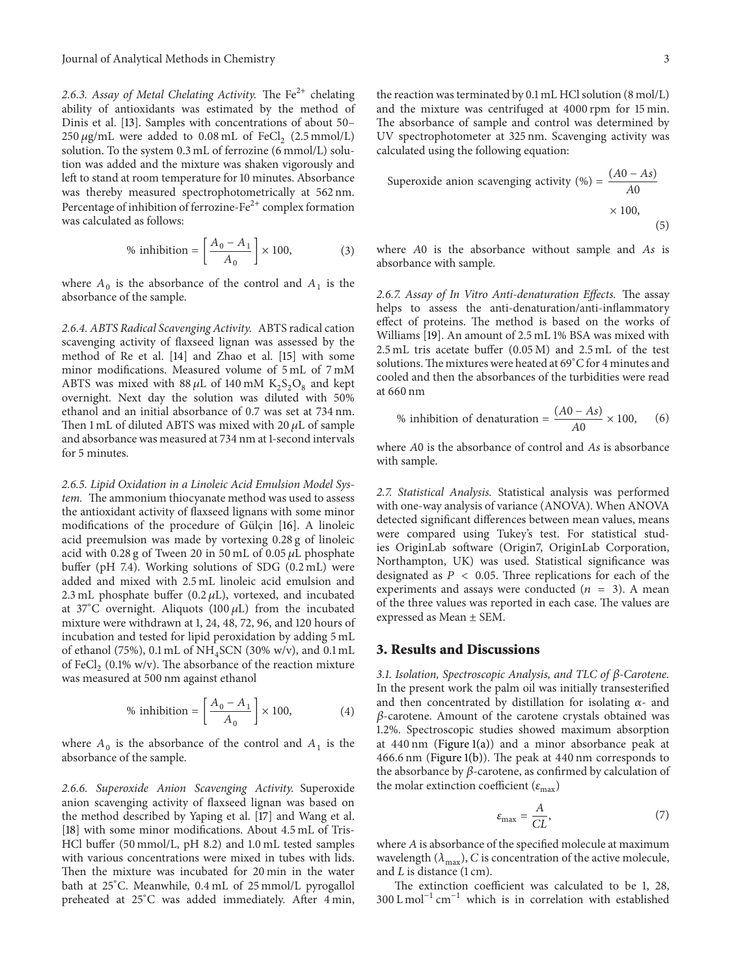2.6.3. Assay of Metal Chelating Activity. The  $Fe^{2+}$  chelating ability of antioxidants was estimated by the method of Dinis et al. [13]. Samples with concentrations of about 50–  $250 \,\mu$ g/mL were added to  $0.08 \,\mathrm{m}$ L of FeCl<sub>2</sub> (2.5 mmol/L) solution. To the system 0.3 mL of ferrozine (6 mmol/L) solution was added and the mixture was shaken vigorously and left to stand at room temperature for 10 minutes. Absorbance was thereby measured spectrophotometrically at 562 nm. Percentage of inhibition of ferrozine- $Fe<sup>2+</sup>$  complex formation was calculated as follows:

% inhibition = 
$$
\left[\frac{A_0 - A_1}{A_0}\right] \times 100,
$$
 (3)

where  $A_0$  is the absorbance of the control and  $A_1$  is the absorbance of the sample.

2.6.4. ABTS Radical Scavenging Activity. ABTS radical cation scavenging activity of flaxseed lignan was assessed by the method of Re et al. [14] and Zhao et al. [15] with some minor modifications. Measured volume of 5 mL of 7 mM ABTS was mixed with  $88 \mu$ L of 140 mM  $K_2S_2O_8$  and kept overnight. Next day the solution was diluted with 50% ethanol and an initial absorbance of 0.7 was set at 734 nm. Then 1 mL of diluted ABTS was mixed with 20  $\mu$ L of sample and absorbance was measured at 734 nm at 1-second intervals for 5 minutes.

2.6.5. Lipid Oxidation in a Linoleic Acid Emulsion Model System. The ammonium thiocyanate method was used to assess the antioxidant activity of flaxseed lignans with some minor modifications of the procedure of Gülçin [16]. A linoleic acid preemulsion was made by vortexing 0.28 g of linoleic acid with 0.28 g of Tween 20 in 50 mL of 0.05  $\mu$ L phosphate buffer (pH 7.4). Working solutions of SDG (0.2 mL) were added and mixed with 2.5 mL linoleic acid emulsion and 2.3 mL phosphate buffer (0.2  $\mu$ L), vortexed, and incubated at 37°C overnight. Aliquots (100  $\mu$ L) from the incubated mixture were withdrawn at 1, 24, 48, 72, 96, and 120 hours of incubation and tested for lipid peroxidation by adding 5 mL of ethanol (75%), 0.1 mL of NH<sup>4</sup> SCN (30% w/v), and 0.1 mL of FeCl<sub>2</sub> (0.1% w/v). The absorbance of the reaction mixture was measured at 500 nm against ethanol

% inhibition = 
$$
\left[\frac{A_0 - A_1}{A_0}\right] \times 100,
$$
 (4)

where  $A_0$  is the absorbance of the control and  $A_1$  is the absorbance of the sample.

2.6.6. Superoxide Anion Scavenging Activity. Superoxide anion scavenging activity of flaxseed lignan was based on the method described by Yaping et al. [17] and Wang et al. [18] with some minor modifications. About 4.5 mL of Tris-HCl buffer (50 mmol/L, pH 8.2) and 1.0 mL tested samples with various concentrations were mixed in tubes with lids. Then the mixture was incubated for 20 min in the water bath at 25<sup>∘</sup>C. Meanwhile, 0.4 mL of 25 mmol/L pyrogallol preheated at 25<sup>∘</sup>C was added immediately. After 4 min,

the reaction was terminated by 0.1 mL HCl solution (8 mol/L) and the mixture was centrifuged at 4000 rpm for 15 min. The absorbance of sample and control was determined by UV spectrophotometer at 325 nm. Scavenging activity was calculated using the following equation:

Supercxide anion scavenging activity (%) = 
$$
\frac{(A0 - As)}{A0}
$$

$$
\times 100,
$$
 (5)

where  $A0$  is the absorbance without sample and  $As$  is absorbance with sample.

2.6.7. Assay of In Vitro Anti-denaturation Effects. The assay helps to assess the anti-denaturation/anti-inflammatory effect of proteins. The method is based on the works of Williams [19]. An amount of 2.5 mL 1% BSA was mixed with 2.5 mL tris acetate buffer (0.05 M) and 2.5 mL of the test solutions.The mixtures were heated at 69<sup>∘</sup>C for 4 minutes and cooled and then the absorbances of the turbidities were read at 660 nm

% inhibition of denaturation = 
$$
\frac{(A0 - As)}{A0} \times 100,
$$
 (6)

where A0 is the absorbance of control and As is absorbance with sample.

2.7. Statistical Analysis. Statistical analysis was performed with one-way analysis of variance (ANOVA). When ANOVA detected significant differences between mean values, means were compared using Tukey's test. For statistical studies OriginLab software (Origin7, OriginLab Corporation, Northampton, UK) was used. Statistical significance was designated as  $P < 0.05$ . Three replications for each of the experiments and assays were conducted  $(n = 3)$ . A mean of the three values was reported in each case. The values are expressed as Mean ± SEM.

#### 3. Results and Discussions

3.1. Isolation, Spectroscopic Analysis, and TLC of  $\beta$ -Carotene. In the present work the palm oil was initially transesterified and then concentrated by distillation for isolating  $\alpha$ - and  $\beta$ -carotene. Amount of the carotene crystals obtained was 1.2%. Spectroscopic studies showed maximum absorption at  $440 \text{ nm}$  (Figure 1(a)) and a minor absorbance peak at 466.6 nm (Figure 1(b)). The peak at 440 nm corresponds to the absorbance by  $\beta$ -carotene, as confirmed by calculation of the molar extinction coefficient ( $\varepsilon_{\text{max}}$ )

$$
\varepsilon_{\text{max}} = \frac{A}{CL},\tag{7}
$$

where  $A$  is absorbance of the specified molecule at maximum wavelength  $(\lambda_{\text{max}})$ , C is concentration of the active molecule, and  $L$  is distance  $(1 \text{ cm})$ .

The extinction coefficient was calculated to be 1, 28,  $300$  L mol<sup>-1</sup> cm<sup>-1</sup> which is in correlation with established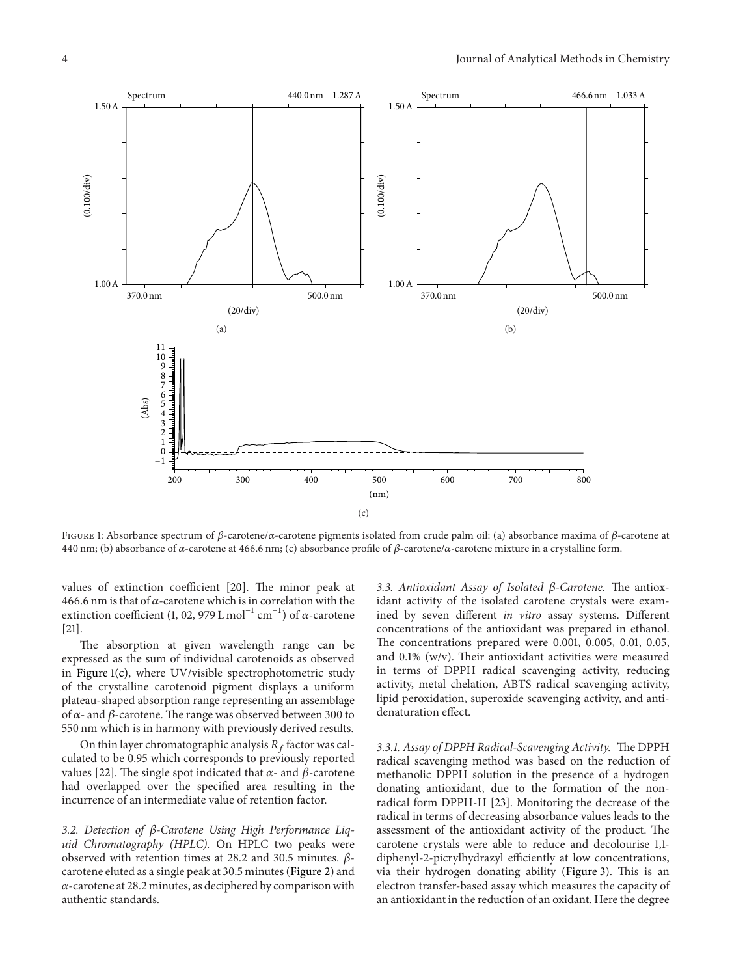

FIGURE 1: Absorbance spectrum of  $\beta$ -carotene/ $\alpha$ -carotene pigments isolated from crude palm oil: (a) absorbance maxima of  $\beta$ -carotene at 440 nm; (b) absorbance of  $\alpha$ -carotene at 466.6 nm; (c) absorbance profile of  $\beta$ -carotene/ $\alpha$ -carotene mixture in a crystalline form.

values of extinction coefficient [20]. The minor peak at 466.6 nm is that of  $\alpha$ -carotene which is in correlation with the extinction coefficient (1, 02, 979 L mol<sup>-1</sup> cm<sup>-1</sup>) of  $\alpha$ -carotene [21].

The absorption at given wavelength range can be expressed as the sum of individual carotenoids as observed in Figure 1(c), where UV/visible spectrophotometric study of the crystalline carotenoid pigment displays a uniform plateau-shaped absorption range representing an assemblage of  $\alpha$ - and  $\beta$ -carotene. The range was observed between 300 to 550 nm which is in harmony with previously derived results.

On thin layer chromatographic analysis  $R_f$  factor was calculated to be 0.95 which corresponds to previously reported values [22]. The single spot indicated that  $\alpha$ - and  $\beta$ -carotene had overlapped over the specified area resulting in the incurrence of an intermediate value of retention factor.

3.2. Detection of  $\beta$ -Carotene Using High Performance Liquid Chromatography (HPLC). On HPLC two peaks were observed with retention times at 28.2 and 30.5 minutes.  $\beta$ carotene eluted as a single peak at 30.5 minutes (Figure 2) and  $\alpha$ -carotene at 28.2 minutes, as deciphered by comparison with authentic standards.

3.3. Antioxidant Assay of Isolated  $\beta$ -Carotene. The antioxidant activity of the isolated carotene crystals were examined by seven different in vitro assay systems. Different concentrations of the antioxidant was prepared in ethanol. The concentrations prepared were 0.001, 0.005, 0.01, 0.05, and 0.1% (w/v). Their antioxidant activities were measured in terms of DPPH radical scavenging activity, reducing activity, metal chelation, ABTS radical scavenging activity, lipid peroxidation, superoxide scavenging activity, and antidenaturation effect.

3.3.1. Assay of DPPH Radical-Scavenging Activity. The DPPH radical scavenging method was based on the reduction of methanolic DPPH solution in the presence of a hydrogen donating antioxidant, due to the formation of the nonradical form DPPH-H [23]. Monitoring the decrease of the radical in terms of decreasing absorbance values leads to the assessment of the antioxidant activity of the product. The carotene crystals were able to reduce and decolourise 1,1 diphenyl-2-picrylhydrazyl efficiently at low concentrations, via their hydrogen donating ability (Figure 3). This is an electron transfer-based assay which measures the capacity of an antioxidant in the reduction of an oxidant. Here the degree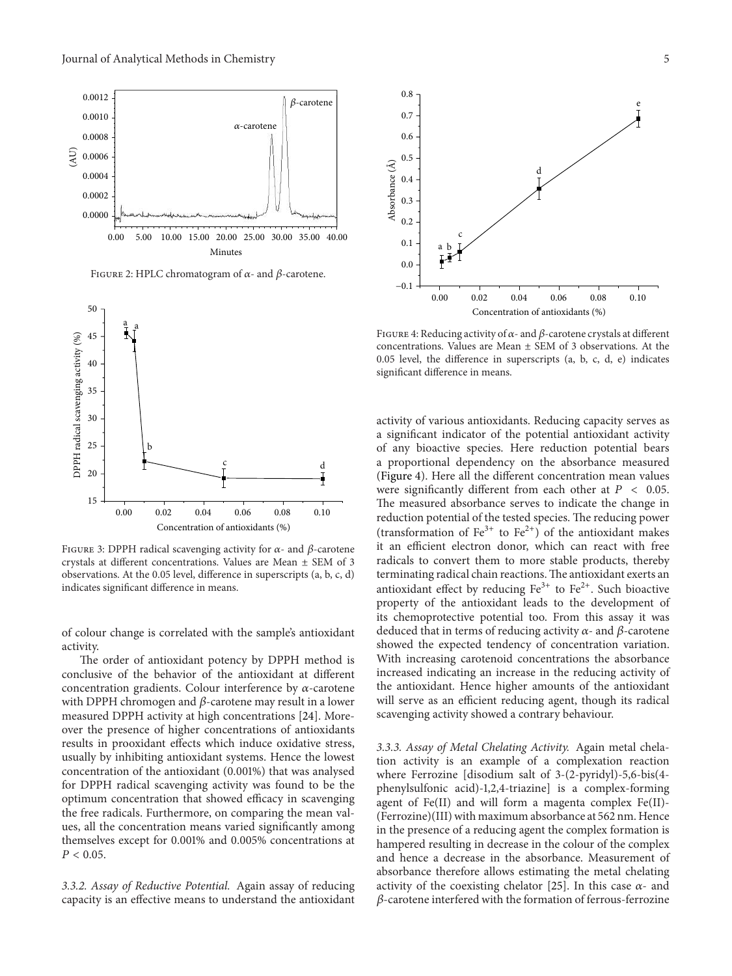

FIGURE 2: HPLC chromatogram of  $\alpha$ - and  $\beta$ -carotene.



FIGURE 3: DPPH radical scavenging activity for  $\alpha$ - and  $\beta$ -carotene crystals at different concentrations. Values are Mean ± SEM of 3 observations. At the 0.05 level, difference in superscripts (a, b, c, d) indicates significant difference in means.

of colour change is correlated with the sample's antioxidant activity.

The order of antioxidant potency by DPPH method is conclusive of the behavior of the antioxidant at different concentration gradients. Colour interference by  $\alpha$ -carotene with DPPH chromogen and  $\beta$ -carotene may result in a lower measured DPPH activity at high concentrations [24]. Moreover the presence of higher concentrations of antioxidants results in prooxidant effects which induce oxidative stress, usually by inhibiting antioxidant systems. Hence the lowest concentration of the antioxidant (0.001%) that was analysed for DPPH radical scavenging activity was found to be the optimum concentration that showed efficacy in scavenging the free radicals. Furthermore, on comparing the mean values, all the concentration means varied significantly among themselves except for 0.001% and 0.005% concentrations at  $P < 0.05$ .

3.3.2. Assay of Reductive Potential. Again assay of reducing capacity is an effective means to understand the antioxidant



FIGURE 4: Reducing activity of  $\alpha$ - and  $\beta$ -carotene crystals at different concentrations. Values are Mean  $\pm$  SEM of 3 observations. At the 0.05 level, the difference in superscripts (a, b, c, d, e) indicates significant difference in means.

activity of various antioxidants. Reducing capacity serves as a significant indicator of the potential antioxidant activity of any bioactive species. Here reduction potential bears a proportional dependency on the absorbance measured (Figure 4). Here all the different concentration mean values were significantly different from each other at  $P < 0.05$ . The measured absorbance serves to indicate the change in reduction potential of the tested species. The reducing power (transformation of  $Fe^{3+}$  to  $Fe^{2+}$ ) of the antioxidant makes it an efficient electron donor, which can react with free radicals to convert them to more stable products, thereby terminating radical chain reactions.The antioxidant exerts an antioxidant effect by reducing  $Fe<sup>3+</sup>$  to  $Fe<sup>2+</sup>$ . Such bioactive property of the antioxidant leads to the development of its chemoprotective potential too. From this assay it was deduced that in terms of reducing activity  $\alpha$ - and  $\beta$ -carotene showed the expected tendency of concentration variation. With increasing carotenoid concentrations the absorbance increased indicating an increase in the reducing activity of the antioxidant. Hence higher amounts of the antioxidant will serve as an efficient reducing agent, though its radical scavenging activity showed a contrary behaviour.

3.3.3. Assay of Metal Chelating Activity. Again metal chelation activity is an example of a complexation reaction where Ferrozine [disodium salt of 3-(2-pyridyl)-5,6-bis(4 phenylsulfonic acid)-1,2,4-triazine] is a complex-forming agent of Fe(II) and will form a magenta complex Fe(II)- (Ferrozine)(III) with maximum absorbance at 562 nm. Hence in the presence of a reducing agent the complex formation is hampered resulting in decrease in the colour of the complex and hence a decrease in the absorbance. Measurement of absorbance therefore allows estimating the metal chelating activity of the coexisting chelator [25]. In this case  $\alpha$ - and  $\beta$ -carotene interfered with the formation of ferrous-ferrozine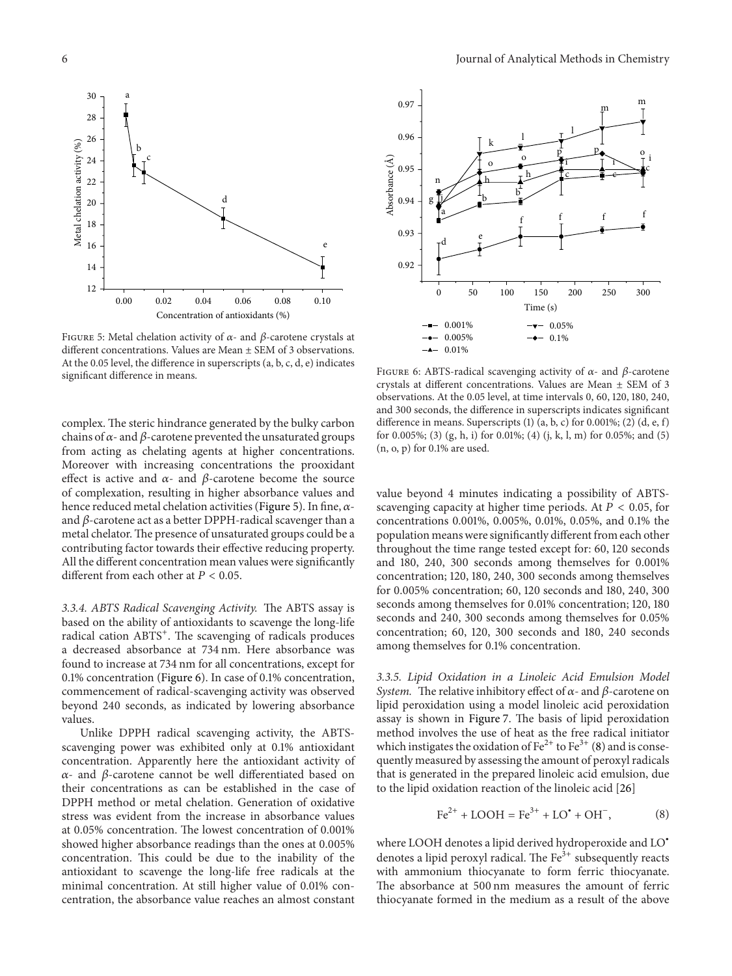

FIGURE 5: Metal chelation activity of  $\alpha$ - and  $\beta$ -carotene crystals at different concentrations. Values are Mean ± SEM of 3 observations. At the 0.05 level, the difference in superscripts (a, b, c, d, e) indicates significant difference in means.

complex. The steric hindrance generated by the bulky carbon chains of  $\alpha$ - and  $\beta$ -carotene prevented the unsaturated groups from acting as chelating agents at higher concentrations. Moreover with increasing concentrations the prooxidant effect is active and  $\alpha$ - and  $\beta$ -carotene become the source of complexation, resulting in higher absorbance values and hence reduced metal chelation activities (Figure 5). In fine,  $\alpha$ and  $\beta$ -carotene act as a better DPPH-radical scavenger than a metal chelator.The presence of unsaturated groups could be a contributing factor towards their effective reducing property. All the different concentration mean values were significantly different from each other at  $P < 0.05$ .

3.3.4. ABTS Radical Scavenging Activity. The ABTS assay is based on the ability of antioxidants to scavenge the long-life radical cation ABTS<sup>+</sup>. The scavenging of radicals produces a decreased absorbance at 734 nm. Here absorbance was found to increase at 734 nm for all concentrations, except for 0.1% concentration (Figure 6). In case of 0.1% concentration, commencement of radical-scavenging activity was observed beyond 240 seconds, as indicated by lowering absorbance values.

Unlike DPPH radical scavenging activity, the ABTSscavenging power was exhibited only at 0.1% antioxidant concentration. Apparently here the antioxidant activity of  $\alpha$ - and  $\beta$ -carotene cannot be well differentiated based on their concentrations as can be established in the case of DPPH method or metal chelation. Generation of oxidative stress was evident from the increase in absorbance values at 0.05% concentration. The lowest concentration of 0.001% showed higher absorbance readings than the ones at 0.005% concentration. This could be due to the inability of the antioxidant to scavenge the long-life free radicals at the minimal concentration. At still higher value of 0.01% concentration, the absorbance value reaches an almost constant



FIGURE 6: ABTS-radical scavenging activity of  $\alpha$ - and  $\beta$ -carotene crystals at different concentrations. Values are Mean ± SEM of 3 observations. At the 0.05 level, at time intervals 0, 60, 120, 180, 240, and 300 seconds, the difference in superscripts indicates significant difference in means. Superscripts (1) (a, b, c) for 0.001%; (2) (d, e, f) for 0.005%; (3) (g, h, i) for 0.01%; (4) (j, k, l, m) for 0.05%; and (5) (n, o, p) for 0.1% are used.

value beyond 4 minutes indicating a possibility of ABTSscavenging capacity at higher time periods. At  $P < 0.05$ , for concentrations 0.001%, 0.005%, 0.01%, 0.05%, and 0.1% the population means were significantly different from each other throughout the time range tested except for: 60, 120 seconds and 180, 240, 300 seconds among themselves for 0.001% concentration; 120, 180, 240, 300 seconds among themselves for 0.005% concentration; 60, 120 seconds and 180, 240, 300 seconds among themselves for 0.01% concentration; 120, 180 seconds and 240, 300 seconds among themselves for 0.05% concentration; 60, 120, 300 seconds and 180, 240 seconds among themselves for 0.1% concentration.

3.3.5. Lipid Oxidation in a Linoleic Acid Emulsion Model System. The relative inhibitory effect of  $\alpha$ - and  $\beta$ -carotene on lipid peroxidation using a model linoleic acid peroxidation assay is shown in Figure 7. The basis of lipid peroxidation method involves the use of heat as the free radical initiator which instigates the oxidation of  $\text{Fe}^{2+}$  to  $\text{Fe}^{3+}$  (8) and is consequently measured by assessing the amount of peroxyl radicals that is generated in the prepared linoleic acid emulsion, due to the lipid oxidation reaction of the linoleic acid [26]

$$
Fe^{2+} + LOOH = Fe^{3+} + LO^* + OH^-,
$$
 (8)

where LOOH denotes a lipid derived hydroperoxide and LO<sup>∙</sup> denotes a lipid peroxyl radical. The  $Fe<sup>3+</sup>$  subsequently reacts with ammonium thiocyanate to form ferric thiocyanate. The absorbance at 500 nm measures the amount of ferric thiocyanate formed in the medium as a result of the above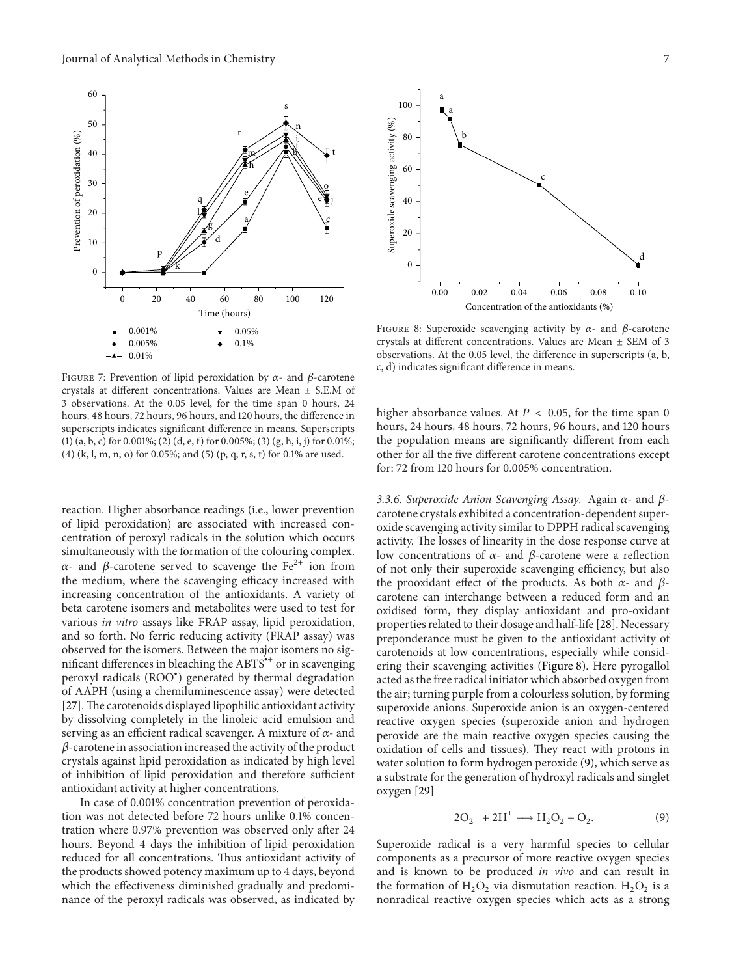

FIGURE 7: Prevention of lipid peroxidation by  $\alpha$ - and  $\beta$ -carotene crystals at different concentrations. Values are Mean ± S.E.M of 3 observations. At the 0.05 level, for the time span 0 hours, 24 hours, 48 hours, 72 hours, 96 hours, and 120 hours, the difference in superscripts indicates significant difference in means. Superscripts (1) (a, b, c) for 0.001%; (2) (d, e, f) for 0.005%; (3) (g, h, i, j) for 0.01%; (4) (k, l, m, n, o) for 0.05%; and (5) (p, q, r, s, t) for 0.1% are used.

reaction. Higher absorbance readings (i.e., lower prevention of lipid peroxidation) are associated with increased concentration of peroxyl radicals in the solution which occurs simultaneously with the formation of the colouring complex.  $\alpha$ - and  $\beta$ -carotene served to scavenge the Fe<sup>2+</sup> ion from the medium, where the scavenging efficacy increased with increasing concentration of the antioxidants. A variety of beta carotene isomers and metabolites were used to test for various in vitro assays like FRAP assay, lipid peroxidation, and so forth. No ferric reducing activity (FRAP assay) was observed for the isomers. Between the major isomers no significant differences in bleaching the ABTS<sup>\*+</sup> or in scavenging peroxyl radicals (ROO<sup>∙</sup> ) generated by thermal degradation of AAPH (using a chemiluminescence assay) were detected [27]. The carotenoids displayed lipophilic antioxidant activity by dissolving completely in the linoleic acid emulsion and serving as an efficient radical scavenger. A mixture of  $\alpha$ - and  $\beta$ -carotene in association increased the activity of the product crystals against lipid peroxidation as indicated by high level of inhibition of lipid peroxidation and therefore sufficient antioxidant activity at higher concentrations.

In case of 0.001% concentration prevention of peroxidation was not detected before 72 hours unlike 0.1% concentration where 0.97% prevention was observed only after 24 hours. Beyond 4 days the inhibition of lipid peroxidation reduced for all concentrations. Thus antioxidant activity of the products showed potency maximum up to 4 days, beyond which the effectiveness diminished gradually and predominance of the peroxyl radicals was observed, as indicated by



FIGURE 8: Superoxide scavenging activity by  $\alpha$ - and  $\beta$ -carotene crystals at different concentrations. Values are Mean ± SEM of 3 observations. At the 0.05 level, the difference in superscripts (a, b, c, d) indicates significant difference in means.

higher absorbance values. At  $P < 0.05$ , for the time span 0 hours, 24 hours, 48 hours, 72 hours, 96 hours, and 120 hours the population means are significantly different from each other for all the five different carotene concentrations except for: 72 from 120 hours for 0.005% concentration.

3.3.6. Superoxide Anion Scavenging Assay. Again  $\alpha$ - and  $\beta$ carotene crystals exhibited a concentration-dependent superoxide scavenging activity similar to DPPH radical scavenging activity. The losses of linearity in the dose response curve at low concentrations of  $\alpha$ - and  $\beta$ -carotene were a reflection of not only their superoxide scavenging efficiency, but also the prooxidant effect of the products. As both  $\alpha$ - and  $\beta$ carotene can interchange between a reduced form and an oxidised form, they display antioxidant and pro-oxidant properties related to their dosage and half-life [28]. Necessary preponderance must be given to the antioxidant activity of carotenoids at low concentrations, especially while considering their scavenging activities (Figure 8). Here pyrogallol acted as the free radical initiator which absorbed oxygen from the air; turning purple from a colourless solution, by forming superoxide anions. Superoxide anion is an oxygen-centered reactive oxygen species (superoxide anion and hydrogen peroxide are the main reactive oxygen species causing the oxidation of cells and tissues). They react with protons in water solution to form hydrogen peroxide (9), which serve as a substrate for the generation of hydroxyl radicals and singlet oxygen [29]

$$
2O_2^{\ -} + 2H^{\ +} \longrightarrow H_2O_2 + O_2. \tag{9}
$$

Superoxide radical is a very harmful species to cellular components as a precursor of more reactive oxygen species and is known to be produced in vivo and can result in the formation of  $H_2O_2$  via dismutation reaction.  $H_2O_2$  is a nonradical reactive oxygen species which acts as a strong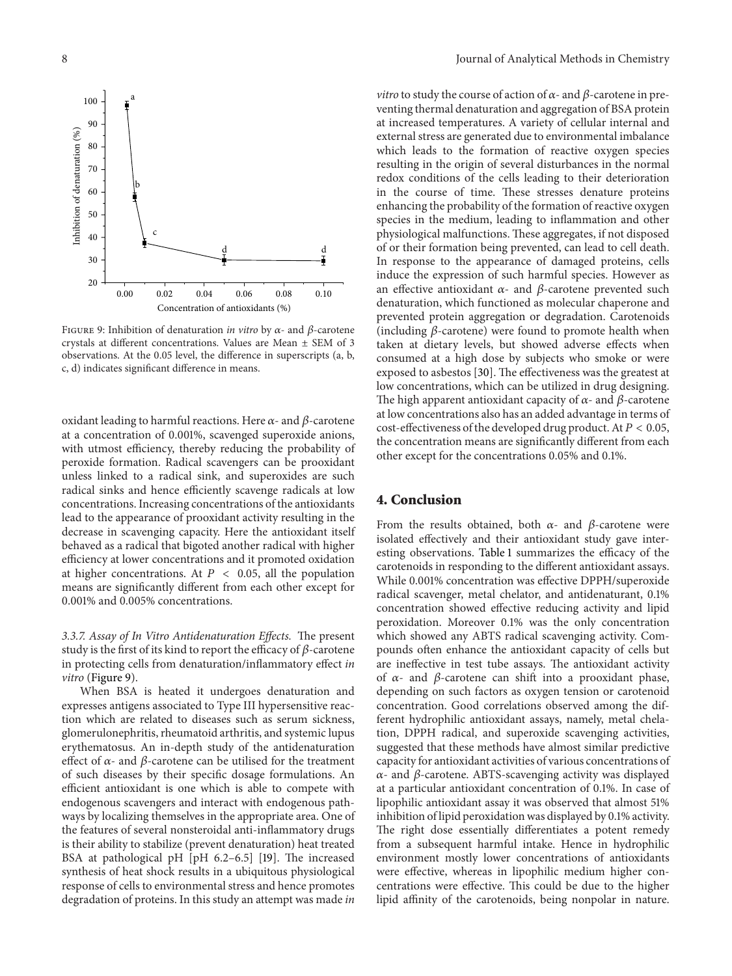

FIGURE 9: Inhibition of denaturation *in vitro* by  $\alpha$ - and  $\beta$ -carotene crystals at different concentrations. Values are Mean ± SEM of 3 observations. At the 0.05 level, the difference in superscripts (a, b, c, d) indicates significant difference in means.

oxidant leading to harmful reactions. Here  $\alpha$ - and  $\beta$ -carotene at a concentration of 0.001%, scavenged superoxide anions, with utmost efficiency, thereby reducing the probability of peroxide formation. Radical scavengers can be prooxidant unless linked to a radical sink, and superoxides are such radical sinks and hence efficiently scavenge radicals at low concentrations. Increasing concentrations of the antioxidants lead to the appearance of prooxidant activity resulting in the decrease in scavenging capacity. Here the antioxidant itself behaved as a radical that bigoted another radical with higher efficiency at lower concentrations and it promoted oxidation at higher concentrations. At  $P < 0.05$ , all the population means are significantly different from each other except for 0.001% and 0.005% concentrations.

3.3.7. Assay of In Vitro Antidenaturation Effects. The present study is the first of its kind to report the efficacy of  $\beta$ -carotene in protecting cells from denaturation/inflammatory effect in vitro (Figure 9).

When BSA is heated it undergoes denaturation and expresses antigens associated to Type III hypersensitive reaction which are related to diseases such as serum sickness, glomerulonephritis, rheumatoid arthritis, and systemic lupus erythematosus. An in-depth study of the antidenaturation effect of  $\alpha$ - and  $\beta$ -carotene can be utilised for the treatment of such diseases by their specific dosage formulations. An efficient antioxidant is one which is able to compete with endogenous scavengers and interact with endogenous pathways by localizing themselves in the appropriate area. One of the features of several nonsteroidal anti-inflammatory drugs is their ability to stabilize (prevent denaturation) heat treated BSA at pathological pH [pH 6.2–6.5] [19]. The increased synthesis of heat shock results in a ubiquitous physiological response of cells to environmental stress and hence promotes degradation of proteins. In this study an attempt was made in

*vitro* to study the course of action of  $\alpha$ - and  $\beta$ -carotene in preventing thermal denaturation and aggregation of BSA protein at increased temperatures. A variety of cellular internal and external stress are generated due to environmental imbalance which leads to the formation of reactive oxygen species resulting in the origin of several disturbances in the normal redox conditions of the cells leading to their deterioration in the course of time. These stresses denature proteins enhancing the probability of the formation of reactive oxygen species in the medium, leading to inflammation and other physiological malfunctions. These aggregates, if not disposed of or their formation being prevented, can lead to cell death. In response to the appearance of damaged proteins, cells induce the expression of such harmful species. However as an effective antioxidant  $\alpha$ - and  $\beta$ -carotene prevented such denaturation, which functioned as molecular chaperone and prevented protein aggregation or degradation. Carotenoids (including  $\beta$ -carotene) were found to promote health when taken at dietary levels, but showed adverse effects when consumed at a high dose by subjects who smoke or were exposed to asbestos [30]. The effectiveness was the greatest at low concentrations, which can be utilized in drug designing. The high apparent antioxidant capacity of  $\alpha$ - and  $\beta$ -carotene at low concentrations also has an added advantage in terms of cost-effectiveness of the developed drug product. At  $P < 0.05$ , the concentration means are significantly different from each other except for the concentrations 0.05% and 0.1%.

#### 4. Conclusion

From the results obtained, both  $\alpha$ - and  $\beta$ -carotene were isolated effectively and their antioxidant study gave interesting observations. Table 1 summarizes the efficacy of the carotenoids in responding to the different antioxidant assays. While 0.001% concentration was effective DPPH/superoxide radical scavenger, metal chelator, and antidenaturant, 0.1% concentration showed effective reducing activity and lipid peroxidation. Moreover 0.1% was the only concentration which showed any ABTS radical scavenging activity. Compounds often enhance the antioxidant capacity of cells but are ineffective in test tube assays. The antioxidant activity of  $\alpha$ - and  $\beta$ -carotene can shift into a prooxidant phase, depending on such factors as oxygen tension or carotenoid concentration. Good correlations observed among the different hydrophilic antioxidant assays, namely, metal chelation, DPPH radical, and superoxide scavenging activities, suggested that these methods have almost similar predictive capacity for antioxidant activities of various concentrations of  $\alpha$ - and  $\beta$ -carotene. ABTS-scavenging activity was displayed at a particular antioxidant concentration of 0.1%. In case of lipophilic antioxidant assay it was observed that almost 51% inhibition of lipid peroxidation was displayed by 0.1% activity. The right dose essentially differentiates a potent remedy from a subsequent harmful intake. Hence in hydrophilic environment mostly lower concentrations of antioxidants were effective, whereas in lipophilic medium higher concentrations were effective. This could be due to the higher lipid affinity of the carotenoids, being nonpolar in nature.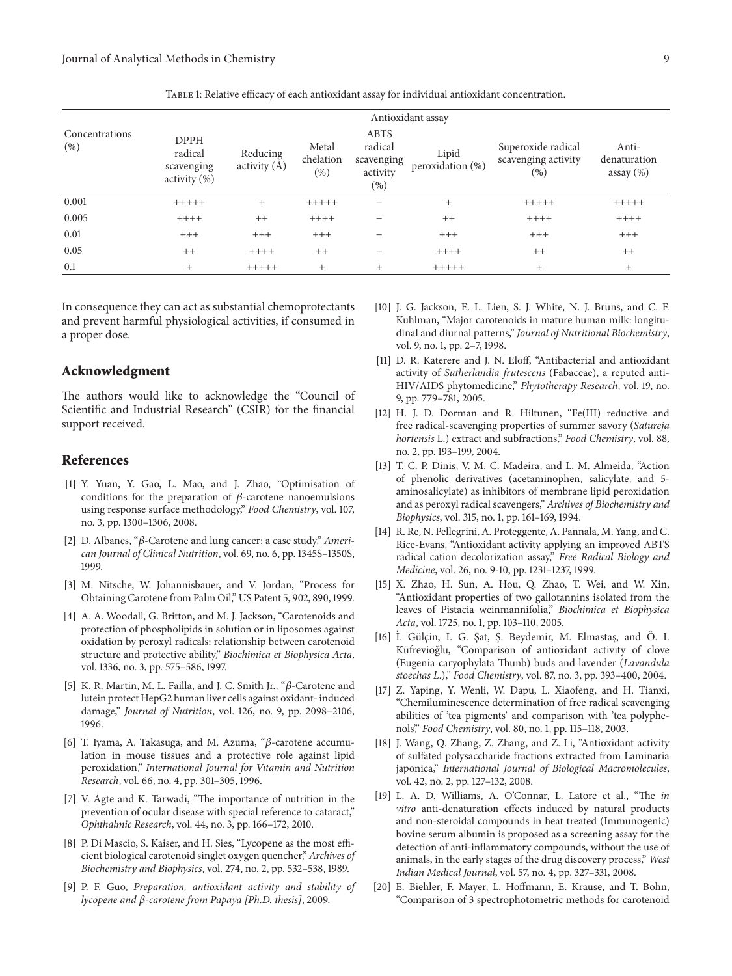| Concentrations<br>(% ) | Antioxidant assay                                             |                            |                               |                                                     |                           |                                                  |                                        |
|------------------------|---------------------------------------------------------------|----------------------------|-------------------------------|-----------------------------------------------------|---------------------------|--------------------------------------------------|----------------------------------------|
|                        | <b>DPPH</b><br>radical<br>scavenging<br>$\text{activity}(\%)$ | Reducing<br>activity $(A)$ | Metal<br>chelation<br>$(\% )$ | ABTS<br>radical<br>scavenging<br>activity<br>$(\%)$ | Lipid<br>peroxidation (%) | Superoxide radical<br>scavenging activity<br>(%) | Anti-<br>denaturation<br>assay $(\% )$ |
| 0.001                  | $+++++$                                                       | $^{+}$                     | $+++++$                       |                                                     | $^{+}$                    | $+++++$                                          | $+++++$                                |
| 0.005                  | $++++$                                                        | $++$                       | $++++$                        |                                                     | $++$                      | $++++$                                           | $+++++$                                |
| 0.01                   | $+++$                                                         | $+++$                      | $+++$                         |                                                     | $+++$                     | $+++$                                            | $+++$                                  |
| 0.05                   | $++$                                                          | $+++++$                    | $++$                          |                                                     | $+++++$                   | $++$                                             | $^{++}$                                |
| 0.1                    | $\overline{+}$                                                | $+++++$                    | $^{+}$                        | $\div$                                              | $+++++$                   | $^{+}$                                           | $^{+}$                                 |

Table 1: Relative efficacy of each antioxidant assay for individual antioxidant concentration.

In consequence they can act as substantial chemoprotectants and prevent harmful physiological activities, if consumed in a proper dose.

#### Acknowledgment

The authors would like to acknowledge the "Council of Scientific and Industrial Research" (CSIR) for the financial support received.

#### References

- [1] Y. Yuan, Y. Gao, L. Mao, and J. Zhao, "Optimisation of conditions for the preparation of  $\beta$ -carotene nanoemulsions using response surface methodology," Food Chemistry, vol. 107, no. 3, pp. 1300–1306, 2008.
- [2] D. Albanes, " $\beta$ -Carotene and lung cancer: a case study," American Journal of Clinical Nutrition, vol. 69, no. 6, pp. 1345S–1350S, 1999.
- [3] M. Nitsche, W. Johannisbauer, and V. Jordan, "Process for Obtaining Carotene from Palm Oil," US Patent 5, 902, 890, 1999.
- [4] A. A. Woodall, G. Britton, and M. J. Jackson, "Carotenoids and protection of phospholipids in solution or in liposomes against oxidation by peroxyl radicals: relationship between carotenoid structure and protective ability," Biochimica et Biophysica Acta, vol. 1336, no. 3, pp. 575–586, 1997.
- [5] K. R. Martin, M. L. Failla, and J. C. Smith Jr., " $\beta$ -Carotene and lutein protect HepG2 human liver cells against oxidant- induced damage," Journal of Nutrition, vol. 126, no. 9, pp. 2098–2106, 1996.
- [6] T. Iyama, A. Takasuga, and M. Azuma, " $\beta$ -carotene accumulation in mouse tissues and a protective role against lipid peroxidation," International Journal for Vitamin and Nutrition Research, vol. 66, no. 4, pp. 301–305, 1996.
- [7] V. Agte and K. Tarwadi, "The importance of nutrition in the prevention of ocular disease with special reference to cataract," Ophthalmic Research, vol. 44, no. 3, pp. 166–172, 2010.
- [8] P. Di Mascio, S. Kaiser, and H. Sies, "Lycopene as the most efficient biological carotenoid singlet oxygen quencher," Archives of Biochemistry and Biophysics, vol. 274, no. 2, pp. 532–538, 1989.
- [9] P. F. Guo, Preparation, antioxidant activity and stability of lycopene and  $\beta$ -carotene from Papaya [Ph.D. thesis], 2009.
- [10] J. G. Jackson, E. L. Lien, S. J. White, N. J. Bruns, and C. F. Kuhlman, "Major carotenoids in mature human milk: longitudinal and diurnal patterns," Journal of Nutritional Biochemistry, vol. 9, no. 1, pp. 2–7, 1998.
- [11] D. R. Katerere and J. N. Eloff, "Antibacterial and antioxidant activity of Sutherlandia frutescens (Fabaceae), a reputed anti-HIV/AIDS phytomedicine," Phytotherapy Research, vol. 19, no. 9, pp. 779–781, 2005.
- [12] H. J. D. Dorman and R. Hiltunen, "Fe(III) reductive and free radical-scavenging properties of summer savory (Satureja hortensis L.) extract and subfractions," Food Chemistry, vol. 88, no. 2, pp. 193–199, 2004.
- [13] T. C. P. Dinis, V. M. C. Madeira, and L. M. Almeida, "Action" of phenolic derivatives (acetaminophen, salicylate, and 5 aminosalicylate) as inhibitors of membrane lipid peroxidation and as peroxyl radical scavengers," Archives of Biochemistry and Biophysics, vol. 315, no. 1, pp. 161–169, 1994.
- [14] R. Re, N. Pellegrini, A. Proteggente, A. Pannala, M. Yang, and C. Rice-Evans, "Antioxidant activity applying an improved ABTS radical cation decolorization assay," Free Radical Biology and Medicine, vol. 26, no. 9-10, pp. 1231–1237, 1999.
- [15] X. Zhao, H. Sun, A. Hou, Q. Zhao, T. Wei, and W. Xin, "Antioxidant properties of two gallotannins isolated from the leaves of Pistacia weinmannifolia," Biochimica et Biophysica Acta, vol. 1725, no. 1, pp. 103–110, 2005.
- [16] I. Gülçin, I. G. Şat, Ş. Beydemir, M. Elmastaş, and Ö. I. Küfrevioğlu, "Comparison of antioxidant activity of clove (Eugenia caryophylata Thunb) buds and lavender (Lavandula stoechas L.)," Food Chemistry, vol. 87, no. 3, pp. 393–400, 2004.
- [17] Z. Yaping, Y. Wenli, W. Dapu, L. Xiaofeng, and H. Tianxi, "Chemiluminescence determination of free radical scavenging abilities of 'tea pigments' and comparison with 'tea polyphenols'," Food Chemistry, vol. 80, no. 1, pp. 115–118, 2003.
- [18] J. Wang, Q. Zhang, Z. Zhang, and Z. Li, "Antioxidant activity of sulfated polysaccharide fractions extracted from Laminaria japonica," International Journal of Biological Macromolecules, vol. 42, no. 2, pp. 127–132, 2008.
- [19] L. A. D. Williams, A. O'Connar, L. Latore et al., "The in vitro anti-denaturation effects induced by natural products and non-steroidal compounds in heat treated (Immunogenic) bovine serum albumin is proposed as a screening assay for the detection of anti-inflammatory compounds, without the use of animals, in the early stages of the drug discovery process," West Indian Medical Journal, vol. 57, no. 4, pp. 327–331, 2008.
- [20] E. Biehler, F. Mayer, L. Hoffmann, E. Krause, and T. Bohn, "Comparison of 3 spectrophotometric methods for carotenoid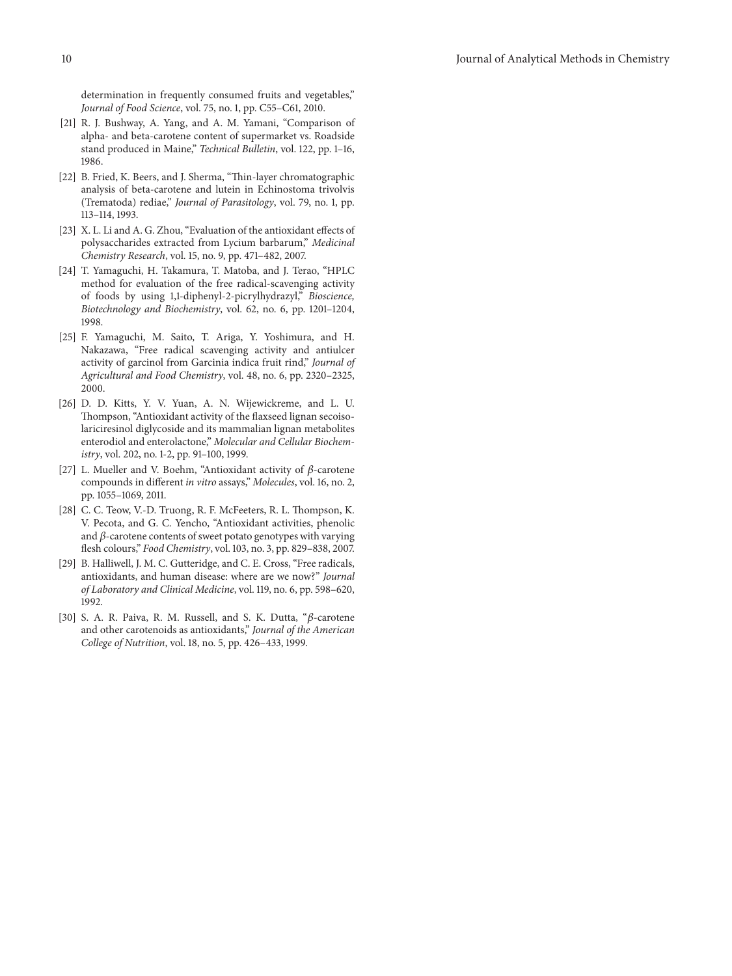determination in frequently consumed fruits and vegetables," Journal of Food Science, vol. 75, no. 1, pp. C55–C61, 2010.

- [21] R. J. Bushway, A. Yang, and A. M. Yamani, "Comparison of alpha- and beta-carotene content of supermarket vs. Roadside stand produced in Maine," Technical Bulletin, vol. 122, pp. 1-16, 1986.
- [22] B. Fried, K. Beers, and J. Sherma, "Thin-layer chromatographic analysis of beta-carotene and lutein in Echinostoma trivolvis (Trematoda) rediae," Journal of Parasitology, vol. 79, no. 1, pp. 113–114, 1993.
- [23] X. L. Li and A. G. Zhou, "Evaluation of the antioxidant effects of polysaccharides extracted from Lycium barbarum," Medicinal Chemistry Research, vol. 15, no. 9, pp. 471–482, 2007.
- [24] T. Yamaguchi, H. Takamura, T. Matoba, and J. Terao, "HPLC method for evaluation of the free radical-scavenging activity of foods by using 1,1-diphenyl-2-picrylhydrazyl," Bioscience, Biotechnology and Biochemistry, vol. 62, no. 6, pp. 1201–1204, 1998.
- [25] F. Yamaguchi, M. Saito, T. Ariga, Y. Yoshimura, and H. Nakazawa, "Free radical scavenging activity and antiulcer activity of garcinol from Garcinia indica fruit rind," Journal of Agricultural and Food Chemistry, vol. 48, no. 6, pp. 2320–2325, 2000.
- [26] D. D. Kitts, Y. V. Yuan, A. N. Wijewickreme, and L. U. Thompson, "Antioxidant activity of the flaxseed lignan secoisolariciresinol diglycoside and its mammalian lignan metabolites enterodiol and enterolactone," Molecular and Cellular Biochemistry, vol. 202, no. 1-2, pp. 91–100, 1999.
- [27] L. Mueller and V. Boehm, "Antioxidant activity of  $\beta$ -carotene compounds in different in vitro assays," Molecules, vol. 16, no. 2, pp. 1055–1069, 2011.
- [28] C. C. Teow, V.-D. Truong, R. F. McFeeters, R. L. Thompson, K. V. Pecota, and G. C. Yencho, "Antioxidant activities, phenolic and  $\beta$ -carotene contents of sweet potato genotypes with varying flesh colours," Food Chemistry, vol. 103, no. 3, pp. 829–838, 2007.
- [29] B. Halliwell, J. M. C. Gutteridge, and C. E. Cross, "Free radicals, antioxidants, and human disease: where are we now?" Journal of Laboratory and Clinical Medicine, vol. 119, no. 6, pp. 598–620, 1992.
- [30] S. A. R. Paiva, R. M. Russell, and S. K. Dutta, " $\beta$ -carotene and other carotenoids as antioxidants," Journal of the American College of Nutrition, vol. 18, no. 5, pp. 426–433, 1999.